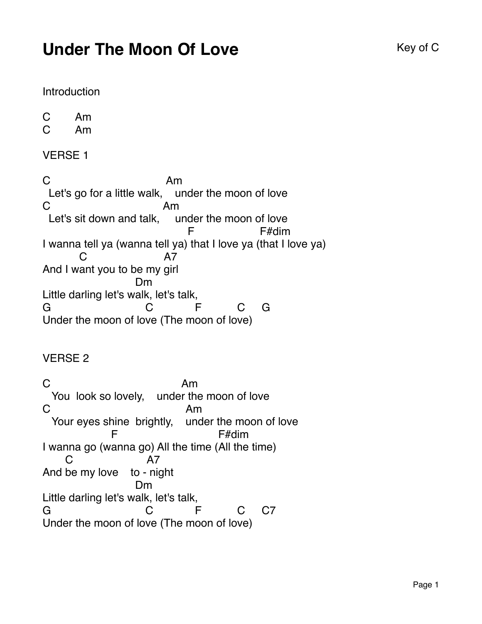# **Under The Moon Of Love** Manual Charles Key of C

Introduction

C Am C Am

VERSE 1

C Let's go for a little walk, Am under the moon of love  $\mathcal{C}$  Let's sit down and talk, Am under the moon of love I wanna tell ya (wanna tell ya) that I love ya (that I love ya) F F#dim And I w ant you to be my girl C A7 Little darling let's w alk, let's talk, Dm G Under the moon of love (The moon of love) C F C G

## VERSE 2

C You look so lovely, unde r the moon of love Am  $\mathcal{C}$  Your eyes shine brightly, under the moon of love Am I wanna go (w anna go) All the time ( All the time) F F#dim And be my love to - night C. A7 Little darling let's w alk, let's talk, Dm G Under the moon of love (The moon of love) C. F  $\mathsf{C}$ C7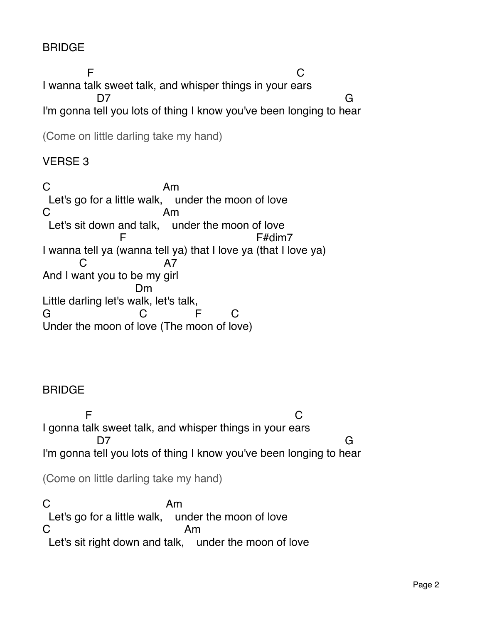## BRIDGE

I wanna t alk sweet talk, and whisper things in your e ars F C I'm gonna t ell you lots of thing I know you've been longing to h ear D7 G (Come on little darling take my hand)

## VERSE 3

C Let's go for a little walk, under the moon of love Am C Let's sit down and talk, Am under the moon of love I wanna tell ya ( wanna tell ya) that I love ya (that I love ya) F F#dim7 And I w ant you to be my girl C A7 Little darling let's w alk, let's talk, Dm G Under the moon of love (The moon of love) C F  $\cap$ 

## BRIDGE

I gonna t alk sweet talk, and whisper things in your e ars F  $\mathsf{C}$ I'm gonna t ell you lots of thing I know you've been longing to h ear D7. G

(Come on little darling take my hand)

 $\mathcal{C}$  Let's go for a little walk, under the moon of love Am C Let's sit right down and talk, under the moon of loveAm